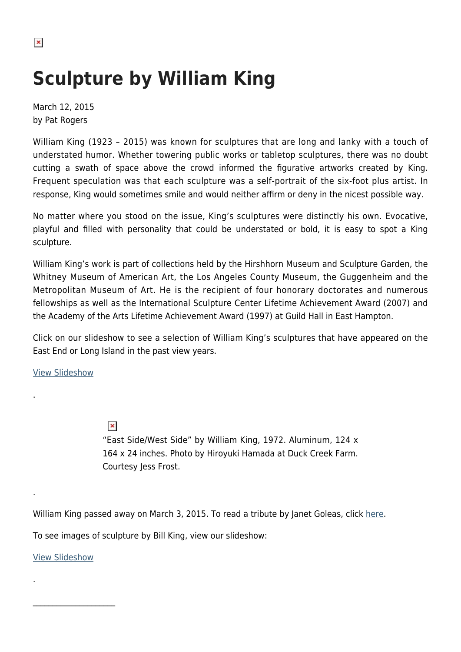$\pmb{\times}$ 

## **Sculpture by William King**

March 12, 2015 by Pat Rogers

William King (1923 – 2015) was known for sculptures that are long and lanky with a touch of understated humor. Whether towering public works or tabletop sculptures, there was no doubt cutting a swath of space above the crowd informed the figurative artworks created by King. Frequent speculation was that each sculpture was a self-portrait of the six-foot plus artist. In response, King would sometimes smile and would neither affirm or deny in the nicest possible way.

No matter where you stood on the issue, King's sculptures were distinctly his own. Evocative, playful and filled with personality that could be understated or bold, it is easy to spot a King sculpture.

William King's work is part of collections held by the Hirshhorn Museum and Sculpture Garden, the Whitney Museum of American Art, the Los Angeles County Museum, the Guggenheim and the Metropolitan Museum of Art. He is the recipient of four honorary doctorates and numerous fellowships as well as the International Sculpture Center Lifetime Achievement Award (2007) and the Academy of the Arts Lifetime Achievement Award (1997) at Guild Hall in East Hampton.

Click on our slideshow to see a selection of William King's sculptures that have appeared on the East End or Long Island in the past view years.

[View Slideshow](https://hamptonsarthub.com/slideshow/in-pictures-sculpture-by-bill-king)

.

.

.

 $\pmb{\times}$ 

"East Side/West Side" by William King, 1972. Aluminum, 124 x 164 x 24 inches. Photo by Hiroyuki Hamada at Duck Creek Farm. Courtesy Jess Frost.

William King passed away on March 3, 2015. To read a tribute by Janet Goleas, click [here.](https://hamptonsarthub.com/2015/03/10/william-king-remembered/)

To see images of sculpture by Bill King, view our slideshow:

[View Slideshow](https://hamptonsarthub.com/slideshow/in-pictures-sculpture-by-bill-king)

 $\overline{\phantom{a}}$  , where  $\overline{\phantom{a}}$